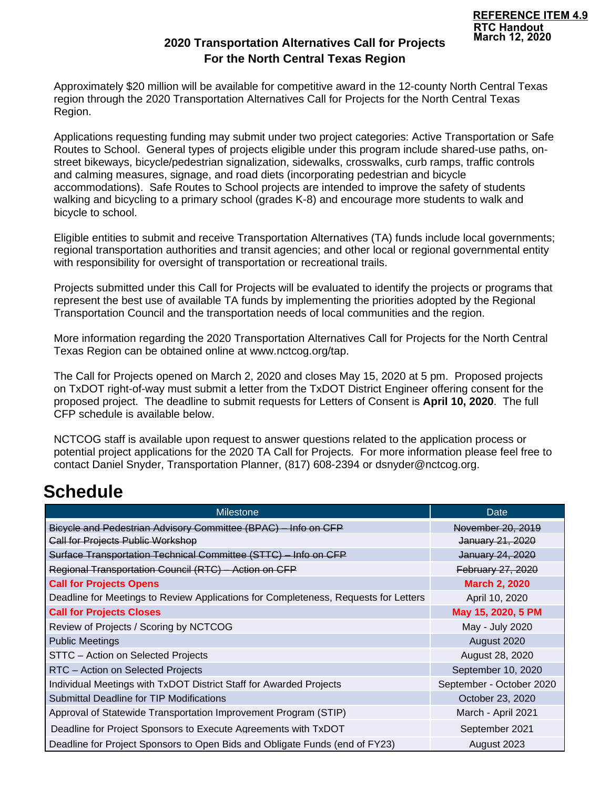# **2020 Transportation Alternatives Call for Projects For the North Central Texas Region**

Approximately \$20 million will be available for competitive award in the 12-county North Central Texas region through the 2020 Transportation Alternatives Call for Projects for the North Central Texas Region.

Applications requesting funding may submit under two project categories: Active Transportation or Safe Routes to School. General types of projects eligible under this program include shared-use paths, onstreet bikeways, bicycle/pedestrian signalization, sidewalks, crosswalks, curb ramps, traffic controls and calming measures, signage, and road diets (incorporating pedestrian and bicycle accommodations). Safe Routes to School projects are intended to improve the safety of students walking and bicycling to a primary school (grades K-8) and encourage more students to walk and bicycle to school.

Eligible entities to submit and receive Transportation Alternatives (TA) funds include local governments; regional transportation authorities and transit agencies; and other local or regional governmental entity with responsibility for oversight of transportation or recreational trails.

Projects submitted under this Call for Projects will be evaluated to identify the projects or programs that represent the best use of available TA funds by implementing the priorities adopted by the Regional Transportation Council and the transportation needs of local communities and the region.

More information regarding the 2020 Transportation Alternatives Call for Projects for the North Central Texas Region can be obtained online at www.nctcog.org/tap.

The Call for Projects opened on March 2, 2020 and closes May 15, 2020 at 5 pm. Proposed projects on TxDOT right-of-way must submit a letter from the TxDOT District Engineer offering consent for the proposed project. The deadline to submit requests for Letters of Consent is **April 10, 2020**. The full CFP schedule is available below.

NCTCOG staff is available upon request to answer questions related to the application process or potential project applications for the 2020 TA Call for Projects. For more information please feel free to contact Daniel Snyder, Transportation Planner, (817) 608-2394 or dsnyder@nctcog.org.

# **Schedule**

| <b>Milestone</b>                                                                    | Date                     |
|-------------------------------------------------------------------------------------|--------------------------|
| Bicycle and Pedestrian Advisory Committee (BPAC) - Info on CFP                      | November 20, 2019        |
| <b>Call for Projects Public Workshop</b>                                            | January 21, 2020         |
| Surface Transportation Technical Committee (STTC) - Info on CFP                     | January 24, 2020         |
| Regional Transportation Council (RTC) - Action on CFP                               | <b>February 27, 2020</b> |
| <b>Call for Projects Opens</b>                                                      | <b>March 2, 2020</b>     |
| Deadline for Meetings to Review Applications for Completeness, Requests for Letters | April 10, 2020           |
| <b>Call for Projects Closes</b>                                                     | May 15, 2020, 5 PM       |
| Review of Projects / Scoring by NCTCOG                                              | May - July 2020          |
| <b>Public Meetings</b>                                                              | August 2020              |
| STTC - Action on Selected Projects                                                  | August 28, 2020          |
| RTC - Action on Selected Projects                                                   | September 10, 2020       |
| Individual Meetings with TxDOT District Staff for Awarded Projects                  | September - October 2020 |
| Submittal Deadline for TIP Modifications                                            | October 23, 2020         |
| Approval of Statewide Transportation Improvement Program (STIP)                     | March - April 2021       |
| Deadline for Project Sponsors to Execute Agreements with TxDOT                      | September 2021           |
| Deadline for Project Sponsors to Open Bids and Obligate Funds (end of FY23)         | August 2023              |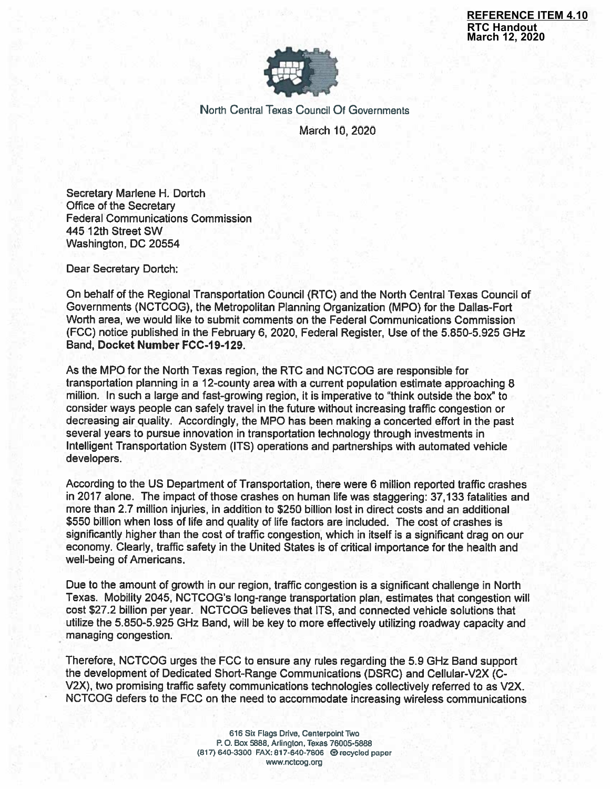**REFERENCE ITEM 4.10 RTC Handout** March 12, 2020



North Central Texas Council Of Governments March 10, 2020

Secretary Marlene H. Dortch Office of the Secretary **Federal Communications Commission** 445 12th Street SW Washington, DC 20554

Dear Secretary Dortch:

On behalf of the Regional Transportation Council (RTC) and the North Central Texas Council of Governments (NCTCOG), the Metropolitan Planning Organization (MPO) for the Dallas-Fort Worth area, we would like to submit comments on the Federal Communications Commission (FCC) notice published in the February 6, 2020, Federal Register, Use of the 5.850-5.925 GHz Band, Docket Number FCC-19-129.

As the MPO for the North Texas region, the RTC and NCTCOG are responsible for transportation planning in a 12-county area with a current population estimate approaching 8 million. In such a large and fast-growing region, it is imperative to "think outside the box" to consider ways people can safely travel in the future without increasing traffic congestion or decreasing air quality. Accordingly, the MPO has been making a concerted effort in the past several years to pursue innovation in transportation technology through investments in Intelligent Transportation System (ITS) operations and partnerships with automated vehicle developers.

According to the US Department of Transportation, there were 6 million reported traffic crashes in 2017 alone. The impact of those crashes on human life was staggering: 37,133 fatalities and more than 2.7 million injuries, in addition to \$250 billion lost in direct costs and an additional \$550 billion when loss of life and quality of life factors are included. The cost of crashes is significantly higher than the cost of traffic congestion, which in itself is a significant drag on our economy. Clearly, traffic safety in the United States is of critical importance for the health and well-being of Americans.

Due to the amount of growth in our region, traffic congestion is a significant challenge in North Texas. Mobility 2045, NCTCOG's long-range transportation plan, estimates that congestion will cost \$27.2 billion per year. NCTCOG believes that ITS, and connected vehicle solutions that utilize the 5.850-5.925 GHz Band, will be key to more effectively utilizing roadway capacity and managing congestion.

Therefore, NCTCOG urges the FCC to ensure any rules regarding the 5.9 GHz Band support the development of Dedicated Short-Range Communications (DSRC) and Cellular-V2X (C-V2X), two promising traffic safety communications technologies collectively referred to as V2X. NCTCOG defers to the FCC on the need to accommodate increasing wireless communications

> 616 Six Flags Drive, Centerpoint Two P.O. Box 5888, Arlington, Texas 76005-5888 (817) 640-3300 FAX: 817-640-7806 @ recycled paper www.nctcog.org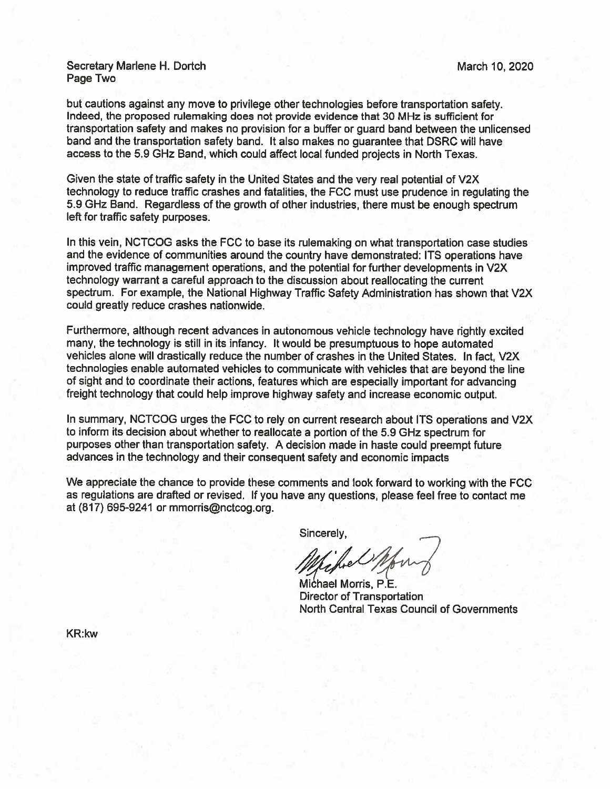#### Secretary Marlene H. Dortch Page Two

but cautions against any move to privilege other technologies before transportation safety. Indeed, the proposed rulemaking does not provide evidence that 30 MHz is sufficient for transportation safety and makes no provision for a buffer or guard band between the unlicensed band and the transportation safety band. It also makes no guarantee that DSRC will have access to the 5.9 GHz Band, which could affect local funded projects in North Texas.

Given the state of traffic safety in the United States and the very real potential of V2X technology to reduce traffic crashes and fatalities, the FCC must use prudence in regulating the 5.9 GHz Band. Regardless of the growth of other industries, there must be enough spectrum left for traffic safety purposes.

In this vein, NCTCOG asks the FCC to base its rulemaking on what transportation case studies and the evidence of communities around the country have demonstrated: ITS operations have improved traffic management operations, and the potential for further developments in V2X technology warrant a careful approach to the discussion about reallocating the current spectrum. For example, the National Highway Traffic Safety Administration has shown that V2X could greatly reduce crashes nationwide.

Furthermore, although recent advances in autonomous vehicle technology have rightly excited many, the technology is still in its infancy. It would be presumptuous to hope automated vehicles alone will drastically reduce the number of crashes in the United States. In fact, V2X technologies enable automated vehicles to communicate with vehicles that are beyond the line of sight and to coordinate their actions, features which are especially important for advancing freight technology that could help improve highway safety and increase economic output.

In summary, NCTCOG urges the FCC to rely on current research about ITS operations and V2X to inform its decision about whether to reallocate a portion of the 5.9 GHz spectrum for purposes other than transportation safety. A decision made in haste could preempt future advances in the technology and their consequent safety and economic impacts

We appreciate the chance to provide these comments and look forward to working with the FCC as regulations are drafted or revised. If you have any questions, please feel free to contact me at  $(817)$  695-9241 or mmorris@nctcog.org.

Sincerely.

Michael Morris, P.E. **Director of Transportation** North Central Texas Council of Governments

**KR:kw**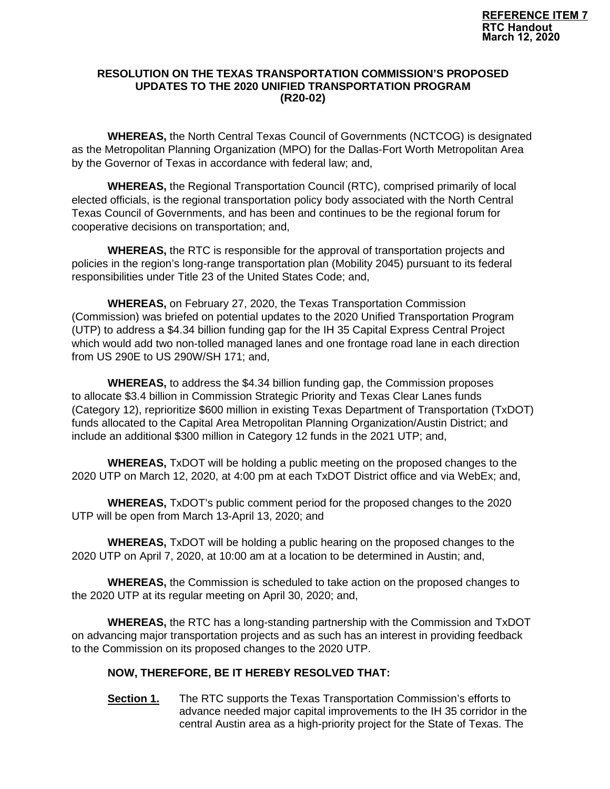### **RESOLUTION ON THE TEXAS TRANSPORTATION COMMISSION'S PROPOSED UPDATES TO THE 2020 UNIFIED TRANSPORTATION PROGRAM (R20-02)**

**WHEREAS,** the North Central Texas Council of Governments (NCTCOG) is designated as the Metropolitan Planning Organization (MPO) for the Dallas-Fort Worth Metropolitan Area by the Governor of Texas in accordance with federal law; and,

**WHEREAS,** the Regional Transportation Council (RTC), comprised primarily of local elected officials, is the regional transportation policy body associated with the North Central Texas Council of Governments, and has been and continues to be the regional forum for cooperative decisions on transportation; and,

**WHEREAS,** the RTC is responsible for the approval of transportation projects and policies in the region's long-range transportation plan (Mobility 2045) pursuant to its federal responsibilities under Title 23 of the United States Code; and,

**WHEREAS,** on February 27, 2020, the Texas Transportation Commission (Commission) was briefed on potential updates to the 2020 Unified Transportation Program (UTP) to address a \$4.34 billion funding gap for the IH 35 Capital Express Central Project which would add two non-tolled managed lanes and one frontage road lane in each direction from US 290E to US 290W/SH 171; and,

**WHEREAS,** to address the \$4.34 billion funding gap, the Commission proposes to allocate \$3.4 billion in Commission Strategic Priority and Texas Clear Lanes funds (Category 12), reprioritize \$600 million in existing Texas Department of Transportation (TxDOT) funds allocated to the Capital Area Metropolitan Planning Organization/Austin District; and include an additional \$300 million in Category 12 funds in the 2021 UTP; and,

**WHEREAS,** TxDOT will be holding a public meeting on the proposed changes to the 2020 UTP on March 12, 2020, at 4:00 pm at each TxDOT District office and via WebEx; and,

**WHEREAS,** TxDOT's public comment period for the proposed changes to the 2020 UTP will be open from March 13-April 13, 2020; and

**WHEREAS,** TxDOT will be holding a public hearing on the proposed changes to the 2020 UTP on April 7, 2020, at 10:00 am at a location to be determined in Austin; and,

**WHEREAS,** the Commission is scheduled to take action on the proposed changes to the 2020 UTP at its regular meeting on April 30, 2020; and,

**WHEREAS,** the RTC has a long-standing partnership with the Commission and TxDOT on advancing major transportation projects and as such has an interest in providing feedback to the Commission on its proposed changes to the 2020 UTP.

## **NOW, THEREFORE, BE IT HEREBY RESOLVED THAT:**

**Section 1.** The RTC supports the Texas Transportation Commission's efforts to advance needed major capital improvements to the IH 35 corridor in the central Austin area as a high-priority project for the State of Texas. The